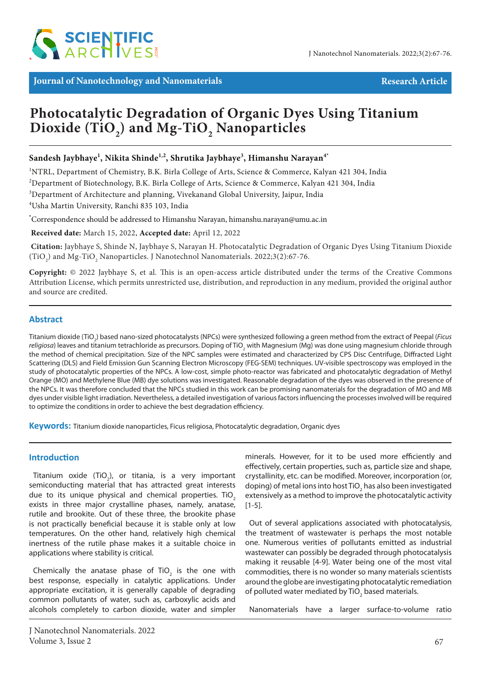

*Journal of Nanotechnology and Nanomaterials***<br>
<b>Example 2018 Research Article Research Article** 

# **Photocatalytic Degradation of Organic Dyes Using Titanium Dioxide (TiO2 ) and Mg-TiO2 Nanoparticles**

# **Sandesh Jaybhaye1 , Nikita Shinde1,2, Shrutika Jaybhaye3 , Himanshu Narayan4\***

<sup>1</sup>NTRL, Department of Chemistry, B.K. Birla College of Arts, Science & Commerce, Kalyan 421 304, India

2 Department of Biotechnology, B.K. Birla College of Arts, Science & Commerce, Kalyan 421 304, India

3 Department of Architecture and planning, Vivekanand Global University, Jaipur, India

4 Usha Martin University, Ranchi 835 103, India

**\*** Correspondence should be addressed to Himanshu Narayan, himanshu.narayan@umu.ac.in

 **Received date:** March 15, 2022, **Accepted date:** April 12, 2022

**Citation:** Jaybhaye S, Shinde N, Jaybhaye S, Narayan H. Photocatalytic Degradation of Organic Dyes Using Titanium Dioxide  $(TiO<sub>2</sub>)$  and Mg-TiO<sub>2</sub> Nanoparticles. J Nanotechnol Nanomaterials. 2022;3(2):67-76.

**Copyright:** © 2022 Jaybhaye S, et al. This is an open-access article distributed under the terms of the Creative Commons Attribution License, which permits unrestricted use, distribution, and reproduction in any medium, provided the original author and source are credited.

## **Abstract**

Titanium dioxide (TiO<sub>2</sub>) based nano-sized photocatalysts (NPCs) were synthesized following a green method from the extract of Peepal (*Ficus religiosa*) leaves and titanium tetrachloride as precursors. Doping of TiO<sub>2</sub> with Magnesium (Mg) was done using magnesium chloride through the method of chemical precipitation. Size of the NPC samples were estimated and characterized by CPS Disc Centrifuge, Diffracted Light Scattering (DLS) and Field Emission Gun Scanning Electron Microscopy (FEG-SEM) techniques. UV-visible spectroscopy was employed in the study of photocatalytic properties of the NPCs. A low-cost, simple photo-reactor was fabricated and photocatalytic degradation of Methyl Orange (MO) and Methylene Blue (MB) dye solutions was investigated. Reasonable degradation of the dyes was observed in the presence of the NPCs. It was therefore concluded that the NPCs studied in this work can be promising nanomaterials for the degradation of MO and MB dyes under visible light irradiation. Nevertheless, a detailed investigation of various factors influencing the processes involved will be required to optimize the conditions in order to achieve the best degradation efficiency.

**Keywords:** Titanium dioxide nanoparticles, Ficus religiosa, Photocatalytic degradation, Organic dyes

#### **Introduction**

Titanium oxide (TiO<sub>2</sub>), or titania, is a very important semiconducting material that has attracted great interests due to its unique physical and chemical properties. TiO<sub>2</sub> exists in three major crystalline phases, namely, anatase, rutile and brookite. Out of these three, the brookite phase is not practically beneficial because it is stable only at low temperatures. On the other hand, relatively high chemical inertness of the rutile phase makes it a suitable choice in applications where stability is critical.

Chemically the anatase phase of TiO<sub>2</sub> is the one with best response, especially in catalytic applications. Under appropriate excitation, it is generally capable of degrading common pollutants of water, such as, carboxylic acids and alcohols completely to carbon dioxide, water and simpler minerals. However, for it to be used more efficiently and effectively, certain properties, such as, particle size and shape, crystallinity, etc. can be modified. Moreover, incorporation (or, doping) of metal ions into host TiO<sub>2</sub> has also been investigated extensively as a method to improve the photocatalytic activity  $[1-5]$ .

Out of several applications associated with photocatalysis, the treatment of wastewater is perhaps the most notable one. Numerous verities of pollutants emitted as industrial wastewater can possibly be degraded through photocatalysis making it reusable [4-9]. Water being one of the most vital commodities, there is no wonder so many materials scientists around the globe are investigating photocatalytic remediation of polluted water mediated by TiO<sub>2</sub> based materials.

Nanomaterials have a larger surface-to-volume ratio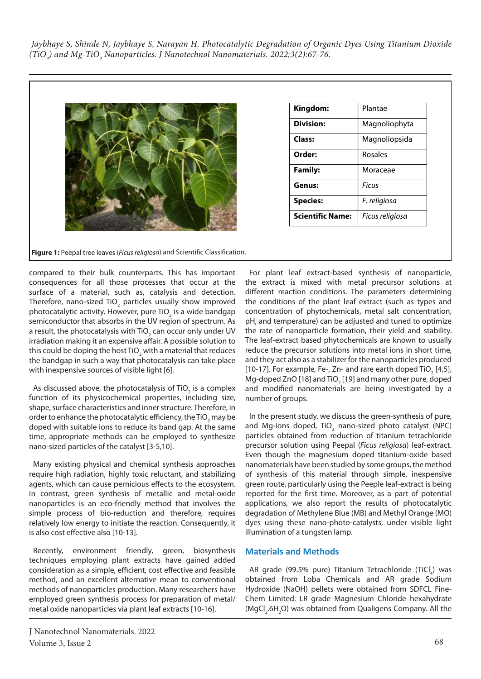| Kingdom:                | Plantae         |
|-------------------------|-----------------|
| <b>Division:</b>        | Magnoliophyta   |
| Class:                  | Magnoliopsida   |
| Order:                  | <b>Rosales</b>  |
| <b>Family:</b>          | Moraceae        |
| Genus:                  | Ficus           |
| <b>Species:</b>         | F. religiosa    |
| <b>Scientific Name:</b> | Ficus religiosa |

**Figure 1:** Peepal tree leaves (*Ficus religiosa*) and Scientific Classification.

compared to their bulk counterparts. This has important consequences for all those processes that occur at the surface of a material, such as, catalysis and detection. Therefore, nano-sized TiO<sub>2</sub> particles usually show improved [photocatalytic](https://en.wikipedia.org/wiki/Photocatalysis) activity. However, pure TiO<sub>2</sub> is a wide bandgap semiconductor that absorbs in the UV region of spectrum. As a result, the photocatalysis with TiO<sub>2</sub> can occur only under UV irradiation making it an expensive affair. A possible solution to this could be doping the host TiO<sub>2</sub> with a material that reduces the bandgap in such a way that photocatalysis can take place with inexpensive sources of visible light [6].

As discussed above, the photocatalysis of TiO<sub>2</sub> is a complex function of its physicochemical properties, including size, shape, surface characteristics and inner structure. Therefore, in order to enhance the photocatalytic efficiency, the TiO<sub>2</sub> may be doped with suitable ions to reduce its band gap. At the same time, appropriate methods can be employed to synthesize nano-sized particles of the catalyst [3-5,10].

Many existing physical and chemical synthesis approaches require high radiation, highly toxic reluctant, and stabilizing agents, which can cause pernicious effects to the ecosystem. In contrast, green synthesis of metallic and metal-oxide nanoparticles is an eco-friendly method that involves the simple process of bio-reduction and therefore, requires relatively low energy to initiate the reaction. Consequently, it is also cost effective also [10-13].

Recently, environment friendly, green, biosynthesis techniques employing plant extracts have gained added consideration as a simple, efficient, cost effective and feasible method, and an excellent alternative mean to conventional methods of nanoparticles production. Many researchers have employed green synthesis process for preparation of metal/ metal oxide nanoparticles via plant leaf extracts [10-16].

For plant leaf extract-based synthesis of nanoparticle, the extract is mixed with metal precursor solutions at different reaction conditions. The parameters determining the conditions of the plant leaf extract (such as types and concentration of phytochemicals, metal salt concentration, pH, and temperature) can be adjusted and tuned to optimize the rate of nanoparticle formation, their yield and stability. The leaf-extract based phytochemicals are known to usually reduce the precursor solutions into metal ions in short time, and they act also as a stabilizer for the nanoparticles produced [10-17]. For example, Fe-, Zn- and rare earth doped TiO<sub>2</sub> [4,5], Mg-doped ZnO [18] and TiO<sub>2</sub> [19] and many other pure, doped and modified nanomaterials are being investigated by a number of groups.

In the present study, we discuss the green-synthesis of pure, and Mg-ions doped, TiO<sub>2</sub> nano-sized photo catalyst (NPC) particles obtained from reduction of titanium tetrachloride precursor solution using Peepal (*Ficus religiosa*) leaf-extract. Even though the magnesium doped titanium-oxide based nanomaterials have been studied by some groups, the method of synthesis of this material through simple, inexpensive green route, particularly using the Peeple leaf-extract is being reported for the first time. Moreover, as a part of potential applications, we also report the results of photocatalytic degradation of Methylene Blue (MB) and Methyl Orange (MO) dyes using these nano-photo-catalysts, under visible light illumination of a tungsten lamp.

# **Materials and Methods**

AR grade (99.5% pure) Titanium Tetrachloride (TiCl<sub>4</sub>) was obtained from Loba Chemicals and AR grade Sodium Hydroxide (NaOH) pellets were obtained from SDFCL Fine-Chem Limited. LR grade Magnesium Chloride hexahydrate (MgCl<sub>2</sub>.6H<sub>2</sub>O) was obtained from Qualigens Company. All the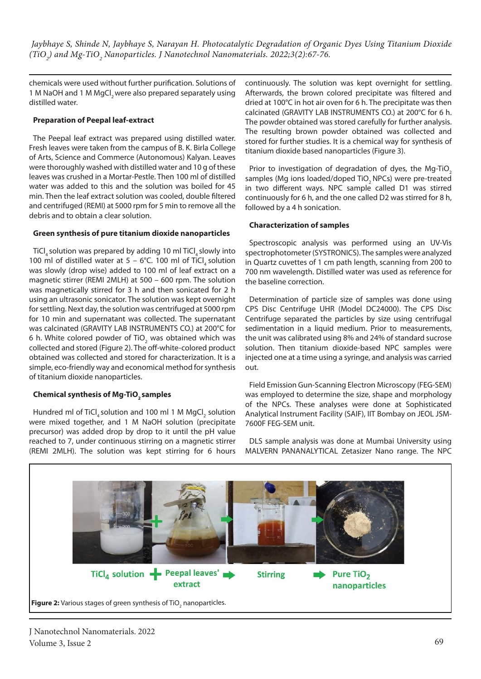chemicals were used without further purification. Solutions of 1 M NaOH and 1 M MgCl, were also prepared separately using distilled water.

# **Preparation of Peepal leaf-extract**

The Peepal leaf extract was prepared using distilled water. Fresh leaves were taken from the campus of B. K. Birla College of Arts, Science and Commerce (Autonomous) Kalyan. Leaves were thoroughly washed with distilled water and 10 g of these leaves was crushed in a Mortar-Pestle. Then 100 ml of distilled water was added to this and the solution was boiled for 45 min. Then the leaf extract solution was cooled, double filtered and centrifuged (REMI) at 5000 rpm for 5 min to remove all the debris and to obtain a clear solution.

## **Green synthesis of pure titanium dioxide nanoparticles**

TiCl<sub>4</sub> solution was prepared by adding 10 ml TiCl<sub>4</sub> slowly into 100 ml of distilled water at 5 – 6°C. 100 ml of TiCl, solution was slowly (drop wise) added to 100 ml of leaf extract on a magnetic stirrer (REMI 2MLH) at 500 – 600 rpm. The solution was magnetically stirred for 3 h and then sonicated for 2 h using an ultrasonic sonicator. The solution was kept overnight for settling. Next day, the solution was centrifuged at 5000 rpm for 10 min and supernatant was collected. The supernatant was calcinated (GRAVITY LAB INSTRUMENTS CO.) at 200°C for 6 h. White colored powder of TiO<sub>2</sub> was obtained which was collected and stored (Figure 2). The off-white-colored product obtained was collected and stored for characterization. It is a simple, eco-friendly way and economical method for synthesis of titanium dioxide nanoparticles.

# **Chemical synthesis of Mg-TiO<sub>2</sub> samples**

Hundred ml of TiCl<sub>4</sub> solution and 100 ml 1 M MgCl<sub>2</sub> solution were mixed together, and 1 M NaOH solution (precipitate precursor) was added drop by drop to it until the pH value reached to 7, under continuous stirring on a magnetic stirrer (REMI 2MLH). The solution was kept stirring for 6 hours continuously. The solution was kept overnight for settling. Afterwards, the brown colored precipitate was filtered and dried at 100°C in hot air oven for 6 h. The precipitate was then calcinated (GRAVITY LAB INSTRUMENTS CO.) at 200°C for 6 h. The powder obtained was stored carefully for further analysis. The resulting brown powder obtained was collected and stored for further studies. It is a chemical way for synthesis of titanium dioxide based nanoparticles (Figure 3).

Prior to investigation of degradation of dyes, the Mg-TiO<sub>2</sub> samples (Mg ions loaded/doped TiO<sub>2</sub> NPCs) were pre-treated in two different ways. NPC sample called D1 was stirred continuously for 6 h, and the one called D2 was stirred for 8 h, followed by a 4 h sonication.

## **Characterization of samples**

Spectroscopic analysis was performed using an UV-Vis spectrophotometer (SYSTRONICS). The samples were analyzed in Quartz cuvettes of 1 cm path length, scanning from 200 to 700 nm wavelength. Distilled water was used as reference for the baseline correction.

Determination of particle size of samples was done using CPS Disc Centrifuge UHR (Model DC24000). The CPS Disc Centrifuge separated the particles by size using centrifugal sedimentation in a liquid medium. Prior to measurements, the unit was calibrated using 8% and 24% of standard sucrose solution. Then titanium dioxide-based NPC samples were injected one at a time using a syringe, and analysis was carried out.

Field Emission Gun-Scanning Electron Microscopy (FEG-SEM) was employed to determine the size, shape and morphology of the NPCs. These analyses were done at Sophisticated Analytical Instrument Facility (SAIF), IIT Bombay on JEOL JSM-7600F FEG-SEM unit.

DLS sample analysis was done at Mumbai University using MALVERN PANANALYTICAL Zetasizer Nano range. The NPC

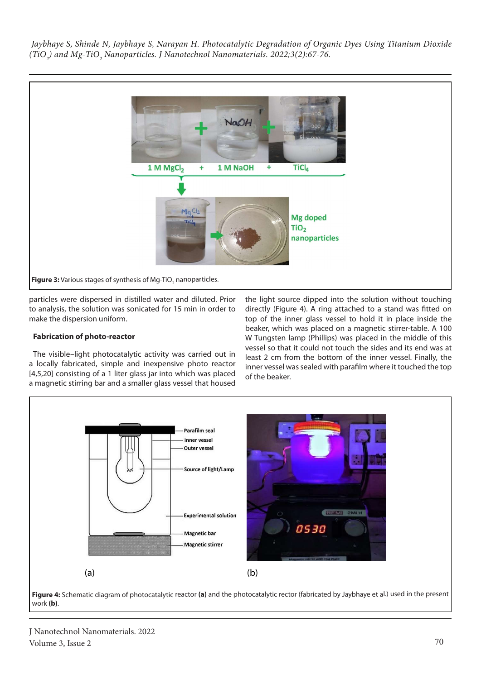

particles were dispersed in distilled water and diluted. Prior to analysis, the solution was sonicated for 15 min in order to make the dispersion uniform.

## **Fabrication of photo-reactor**

The visible–light photocatalytic activity was carried out in a locally fabricated, simple and inexpensive photo reactor [4,5,20] consisting of a 1 liter glass jar into which was placed a magnetic stirring bar and a smaller glass vessel that housed

the light source dipped into the solution without touching directly (Figure 4). A ring attached to a stand was fitted on top of the inner glass vessel to hold it in place inside the beaker, which was placed on a magnetic stirrer-table. A 100 W Tungsten lamp (Phillips) was placed in the middle of this vessel so that it could not touch the sides and its end was at least 2 cm from the bottom of the inner vessel. Finally, the inner vessel was sealed with parafilm where it touched the top of the beaker.



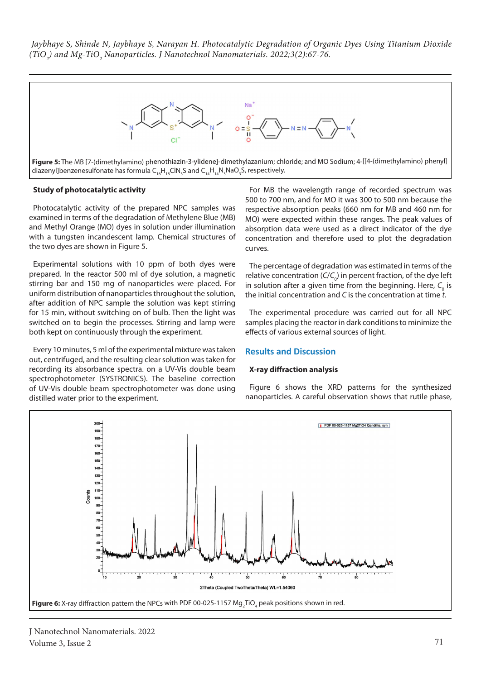

#### **Study of photocatalytic activity**

Photocatalytic activity of the prepared NPC samples was examined in terms of the degradation of Methylene Blue (MB) and Methyl Orange (MO) dyes in solution under illumination with a tungsten incandescent lamp. Chemical structures of the two dyes are shown in Figure 5.

Experimental solutions with 10 ppm of both dyes were prepared. In the reactor 500 ml of dye solution, a magnetic stirring bar and 150 mg of nanoparticles were placed. For uniform distribution of nanoparticles throughout the solution, after addition of NPC sample the solution was kept stirring for 15 min, without switching on of bulb. Then the light was switched on to begin the processes. Stirring and lamp were both kept on continuously through the experiment.

Every 10 minutes, 5 ml of the experimental mixture was taken out, centrifuged, and the resulting clear solution was taken for recording its absorbance spectra. on a UV-Vis double beam spectrophotometer (SYSTRONICS). The baseline correction of UV-Vis double beam spectrophotometer was done using distilled water prior to the experiment.

For MB the wavelength range of recorded spectrum was 500 to 700 nm, and for MO it was 300 to 500 nm because the respective absorption peaks (660 nm for MB and 460 nm for MO) were expected within these ranges. The peak values of absorption data were used as a direct indicator of the dye concentration and therefore used to plot the degradation curves.

The percentage of degradation was estimated in terms of the relative concentration (C/C<sub>o</sub>) in percent fraction, of the dye left in solution after a given time from the beginning. Here,  $\mathcal{C}_{_{\text{o}}}$  is the initial concentration and *C* is the concentration at time *t*.

The experimental procedure was carried out for all NPC samples placing the reactor in dark conditions to minimize the effects of various external sources of light.

#### **Results and Discussion**

#### **X-ray diffraction analysis**

Figure 6 shows the XRD patterns for the synthesized nanoparticles. A careful observation shows that rutile phase,

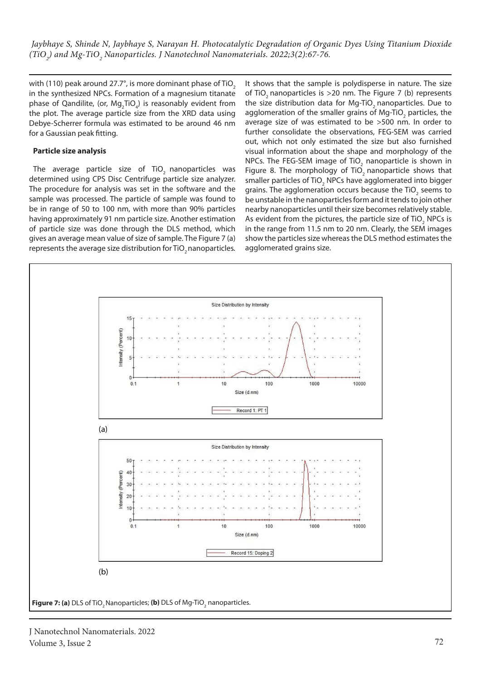with (110) peak around 27.7°, is more dominant phase of TiO<sub>2</sub> in the synthesized NPCs. Formation of a magnesium titanate phase of Qandilite, (or,  $Mg_2TiO_4$ ) is reasonably evident from the plot. The average particle size from the XRD data using Debye-Scherrer formula was estimated to be around 46 nm for a Gaussian peak fitting.

## **Particle size analysis**

The average particle size of TiO<sub>2</sub> nanoparticles was determined using CPS Disc Centrifuge particle size analyzer. The procedure for analysis was set in the software and the sample was processed. The particle of sample was found to be in range of 50 to 100 nm, with more than 90% particles having approximately 91 nm particle size. Another estimation of particle size was done through the DLS method, which gives an average mean value of size of sample. The Figure 7 (a) represents the average size distribution for TiO<sub>2</sub> nanoparticles.

It shows that the sample is polydisperse in nature. The size of TiO<sub>2</sub> nanoparticles is  $>$  20 nm. The Figure 7 (b) represents the size distribution data for Mg-TiO<sub>2</sub> nanoparticles. Due to agglomeration of the smaller grains of Mg-TiO<sub>2</sub> particles, the average size of was estimated to be >500 nm. In order to further consolidate the observations, FEG-SEM was carried out, which not only estimated the size but also furnished visual information about the shape and morphology of the NPCs. The FEG-SEM image of TiO<sub>2</sub> nanoparticle is shown in Figure 8. The morphology of TiO<sub>2</sub> nanoparticle shows that smaller particles of TiO<sub>2</sub> NPCs have agglomerated into bigger grains. The agglomeration occurs because the TiO<sub>2</sub> seems to be unstable in the nanoparticles form and it tends to join other nearby nanoparticles until their size becomes relatively stable. As evident from the pictures, the particle size of TiO<sub>2</sub> NPCs is in the range from 11.5 nm to 20 nm. Clearly, the SEM images show the particles size whereas the DLS method estimates the agglomerated grains size.

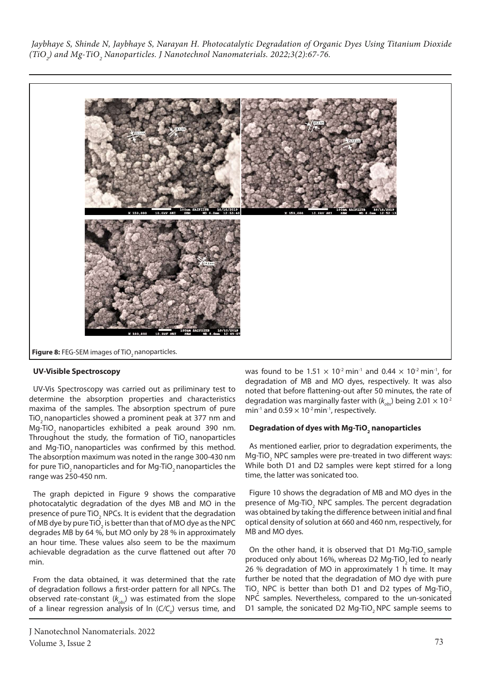

#### **UV-Visible Spectroscopy**

UV-Vis Spectroscopy was carried out as priliminary test to determine the absorption properties and characteristics maxima of the samples. The absorption spectrum of pure TiO<sub>2</sub> nanoparticles showed a prominent peak at 377 nm and Mg-TiO<sub>2</sub> nanoparticles exhibited a peak around 390 nm. Throughout the study, the formation of TiO<sub>2</sub> nanoparticles and Mg-TiO<sub>2</sub> nanoparticles was confirmed by this method. The absorption maximum was noted in the range 300-430 nm for pure TiO<sub>2</sub> nanoparticles and for Mg-TiO<sub>2</sub> nanoparticles the range was 250-450 nm.

The graph depicted in Figure 9 shows the comparative photocatalytic degradation of the dyes MB and MO in the presence of pure TiO<sub>2</sub> NPCs. It is evident that the degradation of MB dye by pure TiO<sub>2</sub> is better than that of MO dye as the NPC degrades MB by 64 %, but MO only by 28 % in approximately an hour time. These values also seem to be the maximum achievable degradation as the curve flattened out after 70 min.

From the data obtained, it was determined that the rate of degradation follows a first-order pattern for all NPCs. The observed rate-constant  $(k_{obs})$  was estimated from the slope of a linear regression analysis of ln (C/C<sub>o</sub>) versus time, and was found to be 1.51  $\times$  10<sup>-2</sup> min<sup>-1</sup> and 0.44  $\times$  10<sup>-2</sup> min<sup>-1</sup>, for degradation of MB and MO dyes, respectively. It was also noted that before flattening-out after 50 minutes, the rate of degradation was marginally faster with  $(k_{obs})$  being 2.01  $\times$  10<sup>-2</sup> min<sup>-1</sup> and  $0.59 \times 10^{-2}$  min<sup>-1</sup>, respectively.

# **Degradation of dyes with Mg-TiO2 nanoparticles**

As mentioned earlier, prior to degradation experiments, the Mg-TiO<sub>2</sub> NPC samples were pre-treated in two different ways: While both D1 and D2 samples were kept stirred for a long time, the latter was sonicated too.

Figure 10 shows the degradation of MB and MO dyes in the presence of Mg-TiO<sub>2</sub> NPC samples. The percent degradation was obtained by taking the difference between initial and final optical density of solution at 660 and 460 nm, respectively, for MB and MO dyes.

On the other hand, it is observed that D1 Mg-TiO<sub>2</sub> sample produced only about 16%, whereas D2 Mg-TiO<sub>2</sub> led to nearly 26 % degradation of MO in approximately 1 h time. It may further be noted that the degradation of MO dye with pure TiO<sub>2</sub> NPC is better than both D1 and D2 types of Mg-TiO<sub>2</sub> NPC samples. Nevertheless, compared to the un-sonicated D1 sample, the sonicated D2 Mg-TiO<sub>2</sub> NPC sample seems to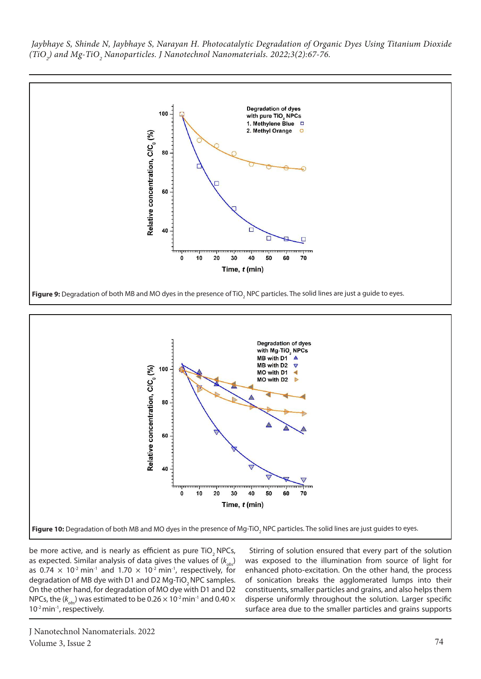



be more active, and is nearly as efficient as pure TiO, NPCs, as expected. Similar analysis of data gives the values of  $(k_{\alpha b})$ as 0.74  $\times$  10<sup>-2</sup> min<sup>-1</sup> and 1.70  $\times$  10<sup>-2</sup> min<sup>-1</sup>, respectively, for degradation of MB dye with D1 and D2 Mg-TiO<sub>2</sub> NPC samples. On the other hand, for degradation of MO dye with D1 and D2 NPCs, the ( $k_{obs}$ ) was estimated to be 0.26  $\times$  10<sup>-2</sup> min<sup>-1</sup> and 0.40  $\times$ 10<sup>-2</sup> min<sup>-1</sup>, respectively.

Stirring of solution ensured that every part of the solution was exposed to the illumination from source of light for enhanced photo-excitation. On the other hand, the process of sonication breaks the agglomerated lumps into their constituents, smaller particles and grains, and also helps them disperse uniformly throughout the solution. Larger specific surface area due to the smaller particles and grains supports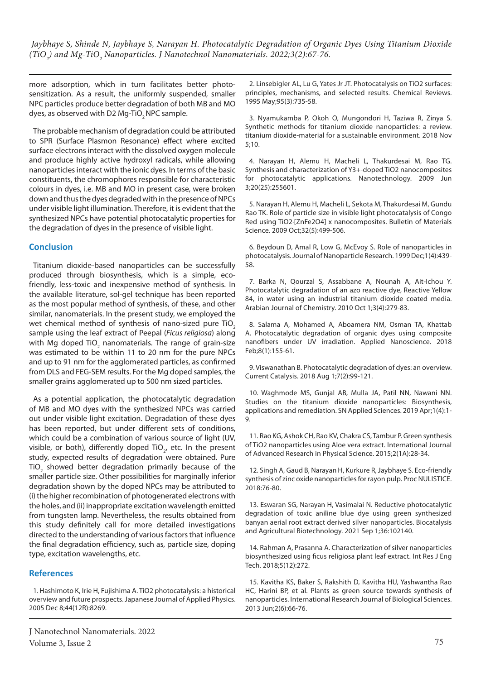more adsorption, which in turn facilitates better photosensitization. As a result, the uniformly suspended, smaller NPC particles produce better degradation of both MB and MO dyes, as observed with D2 Mg-TiO<sub>2</sub> NPC sample.

The probable mechanism of degradation could be attributed to SPR (Surface Plasmon Resonance) effect where excited surface electrons interact with the dissolved oxygen molecule and produce highly active hydroxyl radicals, while allowing nanoparticles interact with the ionic dyes. In terms of the basic constituents, the chromophores responsible for characteristic colours in dyes, i.e. MB and MO in present case, were broken down and thus the dyes degraded with in the presence of NPCs under visible light illumination. Therefore, it is evident that the synthesized NPCs have potential photocatalytic properties for the degradation of dyes in the presence of visible light.

# **Conclusion**

Titanium dioxide-based nanoparticles can be successfully produced through biosynthesis, which is a simple, ecofriendly, less-toxic and inexpensive method of synthesis. In the available literature, sol-gel technique has been reported as the most popular method of synthesis, of these, and other similar, nanomaterials. In the present study, we employed the wet chemical method of synthesis of nano-sized pure TiO. sample using the leaf extract of Peepal (*Ficus religiosa*) along with Mg doped TiO<sub>2</sub> nanomaterials. The range of grain-size was estimated to be within 11 to 20 nm for the pure NPCs and up to 91 nm for the agglomerated particles, as confirmed from DLS and FEG-SEM results. For the Mg doped samples, the smaller grains agglomerated up to 500 nm sized particles.

As a potential application, the photocatalytic degradation of MB and MO dyes with the synthesized NPCs was carried out under visible light excitation. Degradation of these dyes has been reported, but under different sets of conditions, which could be a combination of various source of light (UV, visible, or both), differently doped TiO<sub>2</sub>, etc. In the present study, expected results of degradation were obtained. Pure TiO<sub>2</sub> showed better degradation primarily because of the smaller particle size. Other possibilities for marginally inferior degradation shown by the doped NPCs may be attributed to (i) the higher recombination of photogenerated electrons with the holes, and (ii) inappropriate excitation wavelength emitted from tungsten lamp. Nevertheless, the results obtained from this study definitely call for more detailed investigations directed to the understanding of various factors that influence the final degradation efficiency, such as, particle size, doping type, excitation wavelengths, etc.

# **References**

1. Hashimoto K, Irie H, Fujishima A. TiO2 photocatalysis: a historical overview and future prospects. Japanese Journal of Applied Physics. 2005 Dec 8;44(12R):8269.

2. Linsebigler AL, Lu G, Yates Jr JT. Photocatalysis on TiO2 surfaces: principles, mechanisms, and selected results. Chemical Reviews. 1995 May;95(3):735-58.

3. Nyamukamba P, Okoh O, Mungondori H, Taziwa R, Zinya S. Synthetic methods for titanium dioxide nanoparticles: a review. titanium dioxide-material for a sustainable environment. 2018 Nov 5;10.

4. Narayan H, Alemu H, Macheli L, Thakurdesai M, Rao TG. Synthesis and characterization of Y3+-doped TiO2 nanocomposites for photocatalytic applications. Nanotechnology. 2009 Jun 3;20(25):255601.

5. Narayan H, Alemu H, Macheli L, Sekota M, Thakurdesai M, Gundu Rao TK. Role of particle size in visible light photocatalysis of Congo Red using TiO2·[ZnFe2O4] x nanocomposites. Bulletin of Materials Science. 2009 Oct;32(5):499-506.

6. Beydoun D, Amal R, Low G, McEvoy S. Role of nanoparticles in photocatalysis. Journal of Nanoparticle Research. 1999 Dec;1(4):439- 58.

7. Barka N, Qourzal S, Assabbane A, Nounah A, Ait-Ichou Y. Photocatalytic degradation of an azo reactive dye, Reactive Yellow 84, in water using an industrial titanium dioxide coated media. Arabian Journal of Chemistry. 2010 Oct 1;3(4):279-83.

8. Salama A, Mohamed A, Aboamera NM, Osman TA, Khattab A. Photocatalytic degradation of organic dyes using composite nanofibers under UV irradiation. Applied Nanoscience. 2018 Feb;8(1):155-61.

9. Viswanathan B. Photocatalytic degradation of dyes: an overview. Current Catalysis. 2018 Aug 1;7(2):99-121.

10. Waghmode MS, Gunjal AB, Mulla JA, Patil NN, Nawani NN. Studies on the titanium dioxide nanoparticles: Biosynthesis, applications and remediation. SN Applied Sciences. 2019 Apr;1(4):1- 9.

11. Rao KG, Ashok CH, Rao KV, Chakra CS, Tambur P. Green synthesis of TiO2 nanoparticles using Aloe vera extract. International Journal of Advanced Research in Physical Science. 2015;2(1A):28-34.

12. Singh A, Gaud B, Narayan H, Kurkure R, Jaybhaye S. Eco-friendly synthesis of zinc oxide nanoparticles for rayon pulp. Proc NULISTICE. 2018:76-80.

13. Eswaran SG, Narayan H, Vasimalai N. Reductive photocatalytic degradation of toxic aniline blue dye using green synthesized banyan aerial root extract derived silver nanoparticles. Biocatalysis and Agricultural Biotechnology. 2021 Sep 1;36:102140.

14. Rahman A, Prasanna A. Characterization of silver nanoparticles biosynthesized using ficus religiosa plant leaf extract. Int Res J Eng Tech. 2018;5(12):272.

15. Kavitha KS, Baker S, Rakshith D, Kavitha HU, Yashwantha Rao HC, Harini BP, et al. Plants as green source towards synthesis of nanoparticles. International Research Journal of Biological Sciences. 2013 Jun;2(6):66-76.